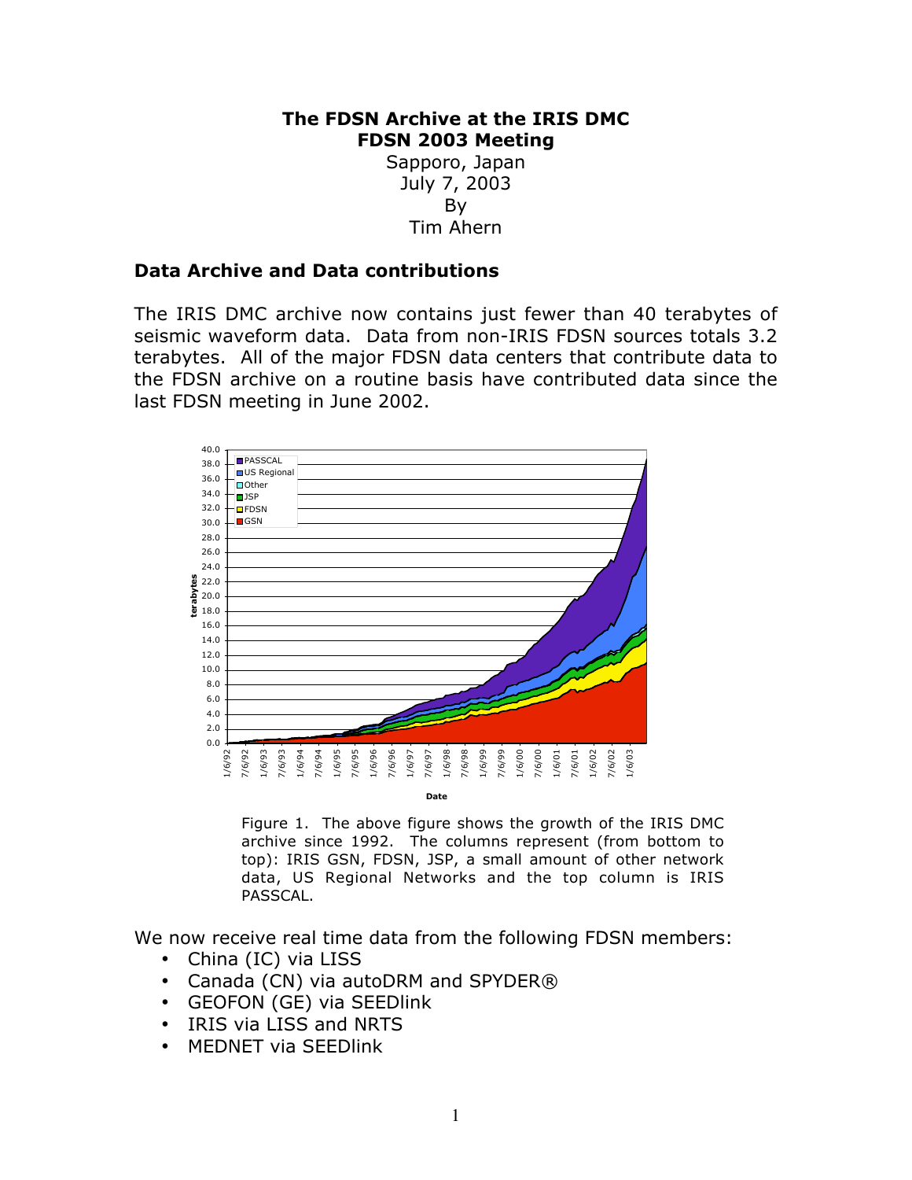## **The FDSN Archive at the IRIS DMC FDSN 2003 Meeting**

Sapporo, Japan July 7, 2003 By Tim Ahern

## **Data Archive and Data contributions**

The IRIS DMC archive now contains just fewer than 40 terabytes of seismic waveform data. Data from non-IRIS FDSN sources totals 3.2 terabytes. All of the major FDSN data centers that contribute data to the FDSN archive on a routine basis have contributed data since the last FDSN meeting in June 2002.



Figure 1. The above figure shows the growth of the IRIS DMC archive since 1992. The columns represent (from bottom to top): IRIS GSN, FDSN, JSP, a small amount of other network data, US Regional Networks and the top column is IRIS PASSCAL.

We now receive real time data from the following FDSN members: China (IC) via LISS Canada (CN) via autoDRM and SPYDER® GEOFON (GE) via SEEDlink IRIS via LISS and NRTS MEDNET via SEEDlink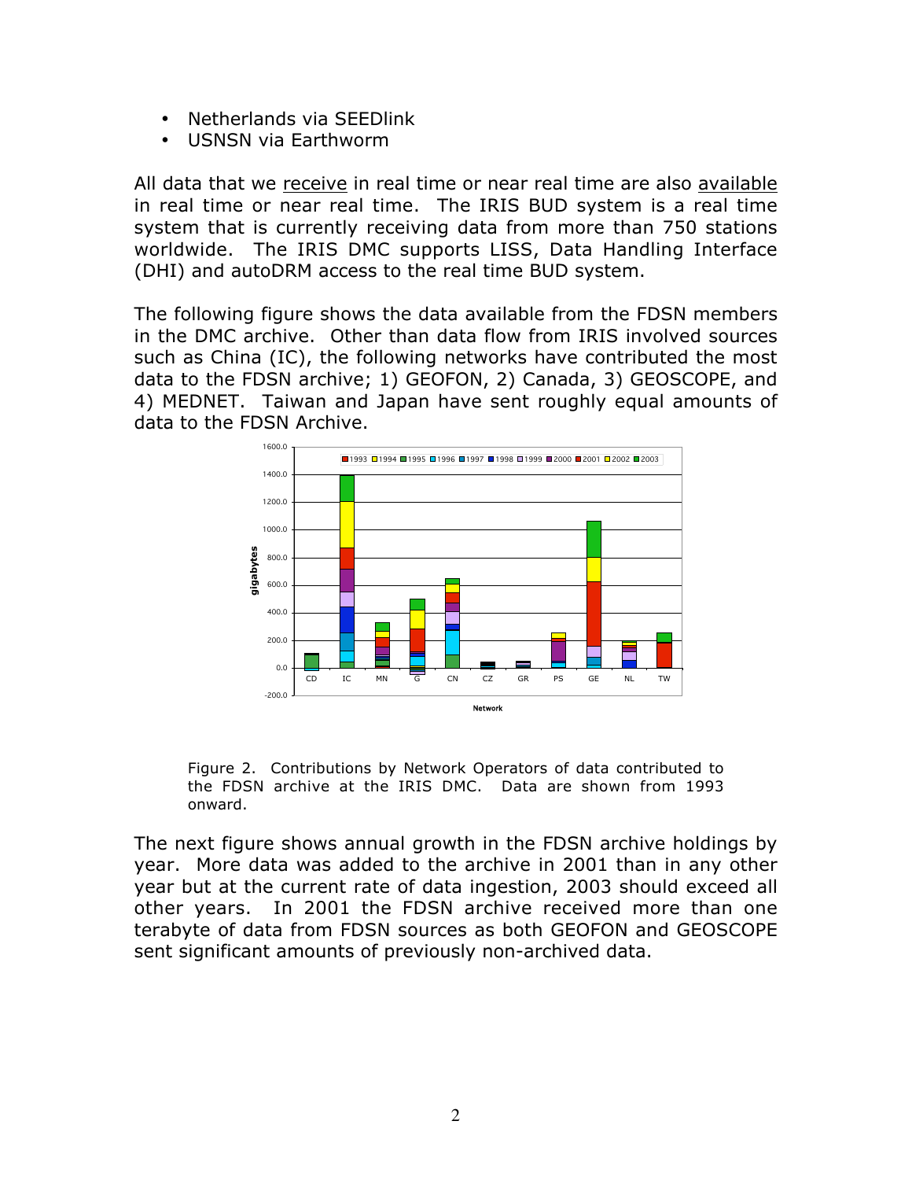Netherlands via SEEDlink USNSN via Earthworm

All data that we receive in real time or near real time are also available in real time or near real time. The IRIS BUD system is a real time system that is currently receiving data from more than 750 stations worldwide. The IRIS DMC supports LISS, Data Handling Interface (DHI) and autoDRM access to the real time BUD system.

The following figure shows the data available from the FDSN members in the DMC archive. Other than data flow from IRIS involved sources such as China (IC), the following networks have contributed the most data to the FDSN archive; 1) GEOFON, 2) Canada, 3) GEOSCOPE, and 4) MEDNET. Taiwan and Japan have sent roughly equal amounts of data to the FDSN Archive.



Figure 2. Contributions by Network Operators of data contributed to the FDSN archive at the IRIS DMC. Data are shown from 1993 onward.

The next figure shows annual growth in the FDSN archive holdings by year. More data was added to the archive in 2001 than in any other year but at the current rate of data ingestion, 2003 should exceed all other years. In 2001 the FDSN archive received more than one terabyte of data from FDSN sources as both GEOFON and GEOSCOPE sent significant amounts of previously non-archived data.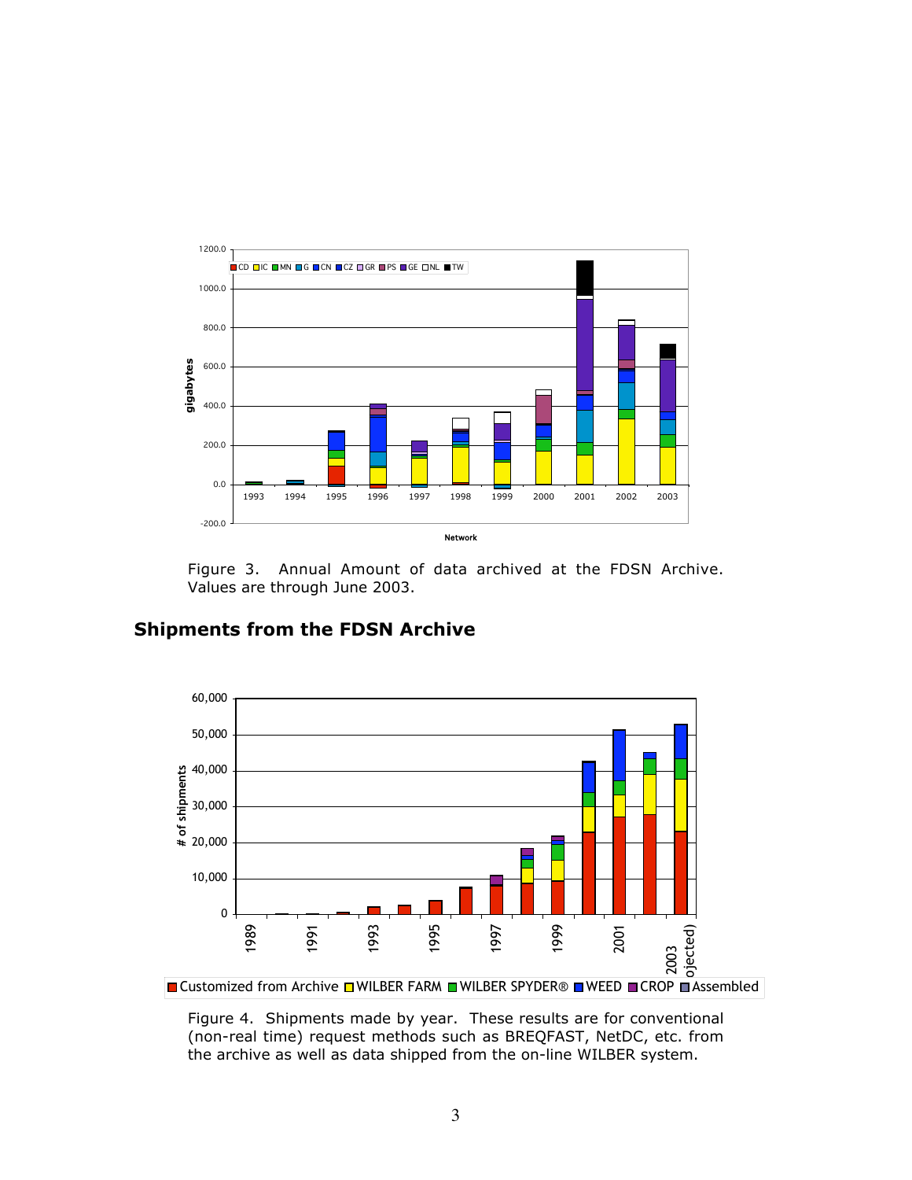

Figure 3. Annual Amount of data archived at the FDSN Archive. Values are through June 2003.



## **Shipments from the FDSN Archive**

Figure 4. Shipments made by year. These results are for conventional (non-real time) request methods such as BREQFAST, NetDC, etc. from the archive as well as data shipped from the on-line WILBER system.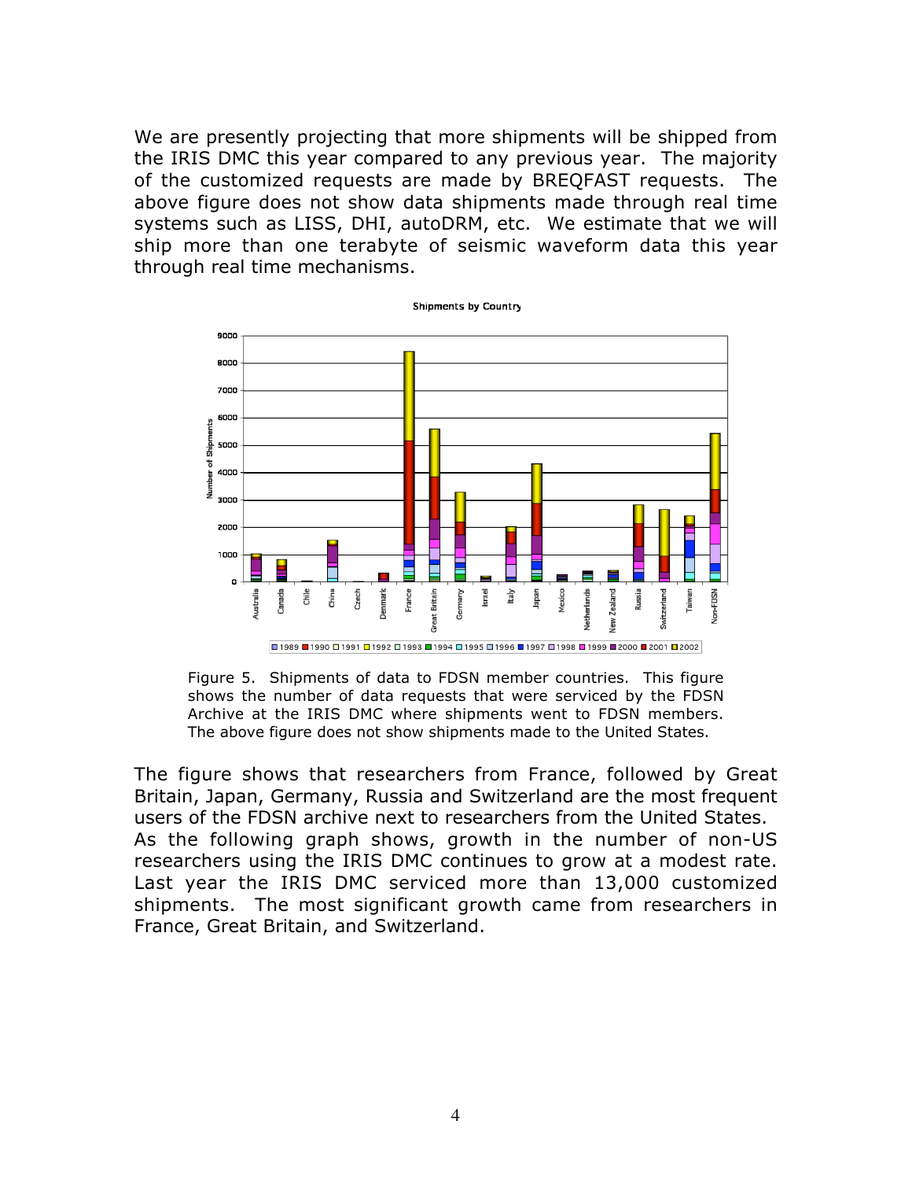We are presently projecting that more shipments will be shipped from the IRIS DMC this year compared to any previous year. The majority of the customized requests are made by BREQFAST requests. The above figure does not show data shipments made through real time systems such as LISS, DHI, autoDRM, etc. We estimate that we will ship more than one terabyte of seismic waveform data this year through real time mechanisms.



Figure 5. Shipments of data to FDSN member countries. This figure shows the number of data requests that were serviced by the FDSN Archive at the IRIS DMC where shipments went to FDSN members. The above figure does not show shipments made to the United States.

The figure shows that researchers from France, followed by Great Britain, Japan, Germany, Russia and Switzerland are the most frequent users of the FDSN archive next to researchers from the United States. As the following graph shows, growth in the number of non-US researchers using the IRIS DMC continues to grow at a modest rate. Last year the IRIS DMC serviced more than 13,000 customized shipments. The most significant growth came from researchers in France, Great Britain, and Switzerland.